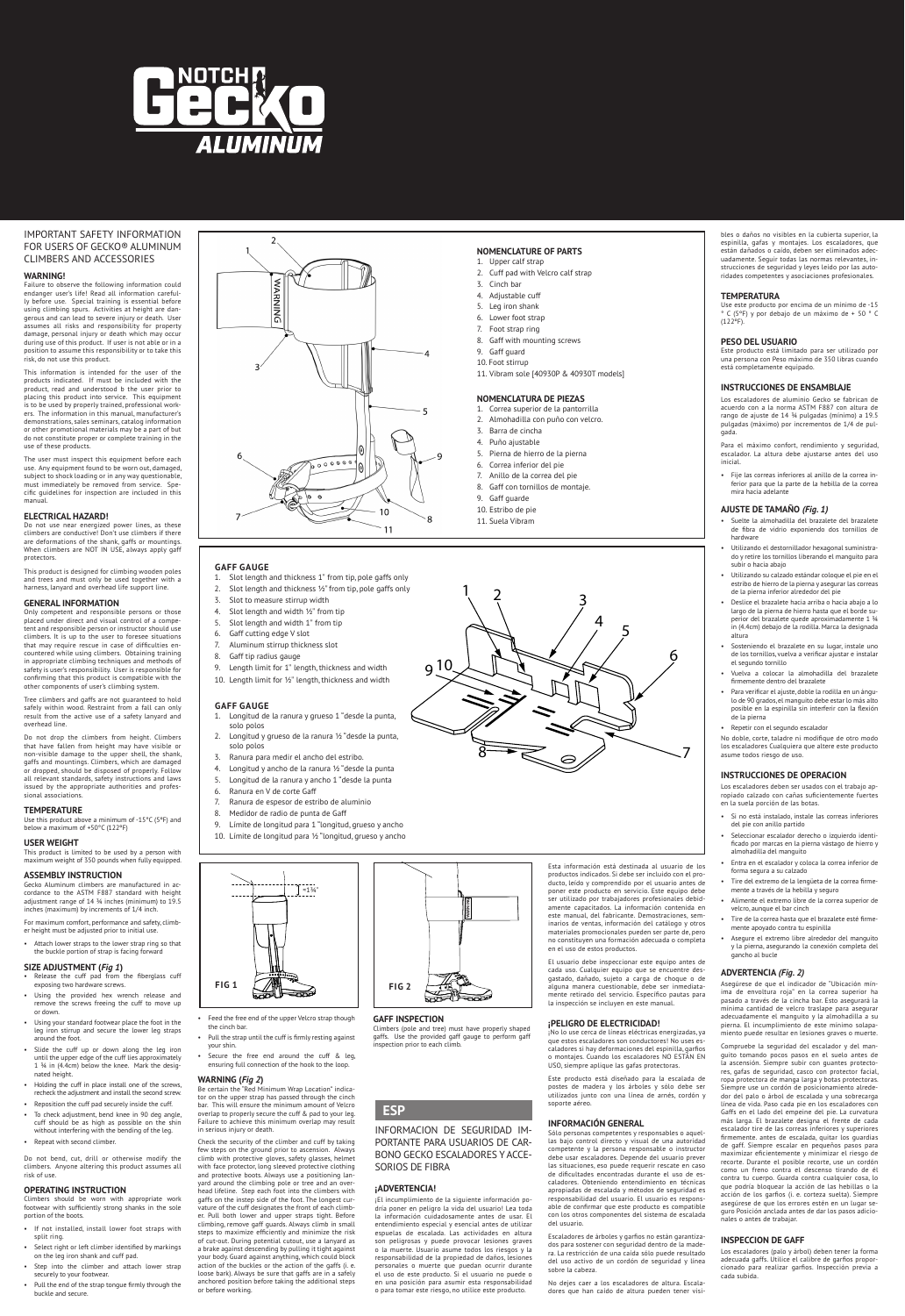

### IMPORTANT SAFETY INFORMATION FOR USERS OF GECKO® ALUMINUM CLIMBERS AND ACCESSORIES

### **WARNING!**

Failure to observe the following information could endanger user's life! Read all information carefully before use. Special training is essential before using climbing spurs. Activities at height are dangerous and can lead to severe injury or death. User assumes all risks and responsibility for property damage, personal injury or death which may occur during use of this product. If user is not able or in a position to assume this responsibility or to take this risk, do not use this product.

This information is intended for the user of the products indicated. If must be included with the product, read and understood b the user prior to placing this product into service. This equipme is to be used by properly trained, professional workers. The information in this manual, manufacturer's demonstrations, sales seminars, catalog information or other promotional materials may be a part of but do not constitute proper or complete training in the use of these products.

The user must inspect this equipment before each use. Any equipment found to be worn out, damaged subject to shock loading or in any way questionable, must immediately be removed from service. Specific guidelines for inspection are included in this manual.

### **ELECTRICAL HAZARD!**

Do not use near energized power lines, as these climbers are conductive! Don't use climbers if there are deformations of the shank, gaffs or mountings. When climbers are NOT IN USE, always apply gaff protectors.

This product is designed for climbing wooden poles and trees and must only be used together with a harness, lanyard and overhead life support line.

• Attach lower straps to the lower strap ring so that the buckle portion of strap is facing forward

### **GENERAL INFORMATION**

Only competent and responsible persons or those placed under direct and visual control of a competent and responsible person or instructor should use climbers. It is up to the user to foresee situations that may require rescue in case of difficulties encountered while using climbers. Obtaining training in appropriate climbing techniques and methods of safety is user's responsibility. User is responsible for confirming that this product is compatible with the other components of user's climbing system.

Tree climbers and gaffs are not guaranteed to hold safely within wood. Restraint from a fall can only result from the active use of a safety lanyard and overhead line.

Do not drop the climbers from height. Climbers that have fallen from height may have visible or non-visible damage to the upper shell, the shank, gaffs and mountings. Climbers, which are damaged or dropped, should be disposed of properly. Follow all relevant standards, safety instructions and laws issued by the appropriate authorities and profes-sional associations.

### **TEMPERATURE**

Use this product above a minimum of -15°C (5ºF) and below a maximum of +50°C (122ºF)

### **USER WEIGHT**

This product is limited to be used by a person with maximum weight of 350 pounds when fully equipped.

### **ASSEMBLY INSTRUCTION**

Gecko Aluminum climbers are manufactured in ac-cordance to the ASTM F887 standard with height adjustment range of 14 ¾ inches (minimum) to 19.5 inches (maximum) by increments of 1/4 inch.

> (pole and tree) must have properly shape gaffs. Use the provided gaff gauge to perform gaff inspection prior to each climb.

For maximum comfort, performance and safety, climber height must be adjusted prior to initial use.

## **SIZE ADJUSTMENT (***Fig 1***)** • Release the cuff pad from the fiberglass cuff

- exposing two hardware screws. • Using the provided hex wrench release and remove the screws freeing the cuff to move up or down.
- Using your standard footwear place the foot in the
- Slot length and thickness 1" from tip, pole gaffs only
- 2. Slot length and thickness ½" from tip, pole gaffs only
- 3. Slot to measure stirrup width
- 4. Slot length and width ½" from tip
- 5. Slot length and width 1" from tip
- 6. Gaff cutting edge V slot 7. Aluminum stirrup thickness slot
- 
- 8. Gaff tip radius gauge
- 9. Length limit for 1" length, thickness and width 10. Length limit for ½" length, thickness and width



Do not bend, cut, drill or otherwise modify the climbers. Anyone altering this product assumes all risk of use.

### **OPERATING INSTRUCTION**

Climbers should be worn with appropriate work footwear with sufficiently strong shanks in the sole portion of the boots.

- If not installed, install lower foot straps with split ring.
- Select right or left climber identified by markings on the leg iron shank and cuff pad.
- Step into the climber and attach lower strap securely to your footwear.
- Pull the end of the strap tongue firmly through the buckle and secure.

the cinch bar.

- Pull the strap until the cuff is firmly resting against your shin.
- Secure the free end around the cuff & leg, ensuring full connection of the hook to the loop.

### **WARNING (***Fig 2***)**

Be certain the "Red Minimum Wrap Location" indicator on the upper strap has passed through the cinch bar. This will ensure the minimum amount of Velcro overlap to properly secure the cuff & pad to your leg. Failure to achieve this minimum overlap may result in serious injury or death.

• Feed the free end of the upper Velcro strap though **GAFF INSPECTION** 

Check the security of the climber and cuff by taking few steps on the ground prior to ascension. Always climb with protective gloves, safety glasses, helmet with face protector, long sleeved protective clothing and protective boots. Always use a positioning lanyard around the climbing pole or tree and an over-head lifeline. Step each foot into the climbers with gaffs on the instep side of the foot. The longest curvature of the cuff designates the front of each climber. Pull both lower and upper straps tight. Before climbing, remove gaff guards. Always climb in small steps to maximize efficiently and minimize the risk of cut-out. During potential cutout, use a lanyard as a brake against descending by pulling it tight against your body. Guard against anything, which could block action of the buckles or the action of the gaffs (i. e. loose bark). Always be sure that gaffs are in a safely anchored position before taking the additional steps or before working.

### **NOMENCLATURE OF PARTS**

- 1. Upper calf strap 2. Cuff pad with Velcro calf strap
- 
- 3. Cinch bar
- 4. Adjustable cuff
- 5. Leg iron shank
- 6. Lower foot strap
- 7. Foot strap ring
- 8. Gaff with mounting screws
- 9. Gaff guard
- 10. Foot stirrup
- 11. Vibram sole [40930P & 40930T models]

### **GAFF GAUGE**

adecuadamente el manguito y la almohadilla a su pierna. El incumplimiento de este mínimo solapamiento puede resultar en lesiones graves o muerte.

### **GAFF GAUGE**

- 1. Longitud de la ranura y grueso 1 "desde la punta, solo polos
- Longitud y grueso de la ranura ½ "desde la punta, solo polos
- 3. Ranura para medir el ancho del estribo.
- 4. Longitud y ancho de la ranura ½ "desde la punta
- 5. Longitud de la ranura y ancho 1 "desde la punta
- 6. Ranura en V de corte Gaff
- 7. Ranura de espesor de estribo de aluminio
- 8. Medidor de radio de punta de Gaff
- 9. Límite de longitud para 1 "longitud, grueso y ancho
- 10. Límite de longitud para ½ "longitud, grueso y ancho

6

9 10



INFORMACION DE SEGURIDAD IM-PORTANTE PARA USUARIOS DE CAR-BONO GECKO ESCALADORES Y ACCE-SORIOS DE FIBRA

### **¡ADVERTENCIA!**

¡El incumplimiento de la siguiente información podría poner en peligro la vida del usuario! Lea toda la información cuidadosamente antes de usar. El entendimiento especial y esencial antes de utilizar espuelas de escalada. Las actividades en altura son peligrosas y puede provocar lesiones graves o la muerte. Usuario asume todos los riesgos y la responsabilidad de la propiedad de daños, lesiones personales o muerte que puedan ocurrir durante el uso de este producto. Si el usuario no puede o en una posición para asumir esta responsabilidad o para tomar este riesgo, no utilice este producto.

### **ESP**



 $\begin{matrix}4\\5\end{matrix}$ 

 $8 \rightarrow R$   $\alpha$   $\sim$  7

El usuario debe inspeccionar este equipo antes de cada uso. Cualquier equipo que se encuentre desgastado, dañado, sujeto a carga de choque o de alguna manera cuestionable, debe ser inmediatamente retirado del servicio. Específico pautas para la inspección se incluyen en este manual.

### **¡PELIGRO DE ELECTRICIDAD!**

¡No lo use cerca de líneas eléctricas energizadas, ya que estos escaladores son conductores! No uses es-caladores si hay deformaciones del espinilla, garfios o montajes. Cuando los escaladores NO ESTÁN EN USO, siempre aplique las gafas protectoras.

Este producto está diseñado para la escalada de postes de madera y los árboles y sólo debe ser utilizados junto con una línea de arnés, cordón y soporte aéreo.

### **INFORMACIÓN GENERAL**

Sólo personas competentes y responsables o aquel-las bajo control directo y visual de una autoridad competente y la persona responsable o instructor debe usar escaladores. Depende del usuario prever las situaciones, eso puede requerir rescate en caso de dificultades encontradas durante el uso de escaladores. Obteniendo entendimiento en técnicas apropiadas de escalada y métodos de seguridad es responsabilidad del usuario. El usuario es responsable de confirmar que este producto es compatible con los otros componentes del sistema de escalada del usuario.

Escaladores de árboles y garfios no están garantizados para sostener con seguridad dentro de la madera. La restricción de una caída sólo puede resultado del uso activo de un cordón de seguridad y línea sobre la cabeza.

No dejes caer a los escaladores de altura. Escaladores que han caído de altura pueden tener visibles o daños no visibles en la cubierta superior, la espinilla, gafas y montajes. Los escaladores, que están dañados o caído, deben ser eliminados adecuadamente. Seguir todas las normas relevantes, instrucciones de seguridad y leyes leído por las autoridades competentes y asociaciones profesionales.

### **TEMPERATURA**

Use este producto por encima de un mínimo de -15 ° C (5ºF) y por debajo de un máximo de + 50 ° C (122ºF).

### **PESO DEL USUARIO**

Este producto está limitado para ser utilizado por una persona con Peso máximo de 350 libras cuando está completamente equipado.

### **INSTRUCCIONES DE ENSAMBLAJE**

Los escaladores de aluminio Gecko se fabrican de acuerdo con a la norma ASTM F887 con altura de rango de ajuste de 14 ¾ pulgadas (mínimo) a 19.5 pulgadas (máximo) por incrementos de 1/4 de pulgada.

Para el máximo confort, rendimiento y seguridad, escalador. La altura debe ajustarse antes del uso inicial.

• Fije las correas inferiores al anillo de la correa inferior para que la parte de la hebilla de la correa mira hacia adelante

### **AJUSTE DE TAMAÑO** *(Fig. 1)*

- Suelte la almohadilla del brazalete del brazalete de fibra de vidrio exponiendo dos tornillos de hardware
- Utilizando el destornillador hexagonal suministrado y retire los tornillos liberando el manguito para subir o hacia abajo
- Utilizando su calzado estándar coloque el pie en el estribo de hierro de la pierna y asegurar las correas de la pierna inferior alrededor del pie
- Deslice el brazalete hacia arriba o hacia abajo a lo largo de la pierna de hierro hasta que el borde superior del brazalete quede aproximadamente 1 ¾ in (4.4cm) debajo de la rodilla. Marca la designada altura
- Sosteniendo el brazalete en su lugar instale uno de los tornillos, vuelva a verificar ajustar e instalar el segundo tornillo
- Vuelva a colocar la almohadilla del brazalete firmemente dentro del brazalete
- Para verificar el ajuste, doble la rodilla en un ángulo de 90 grados, el manguito debe estar lo más alto posible en la espinilla sin interferir con la flexión de la pierna
- Repetir con el segundo escalador
- No doble, corte, taladre ni modifique de otro modo los escaladores Cualquiera que altere este producto asume todos riesgo de uso.

### **INSTRUCCIONES DE OPERACION**

Los escaladores deben ser usados con el trabajo apropiado calzado con cañas suficientemente fuertes en la suela porción de las botas.

- Si no está instalado, instale las correas inferiores del pie con anillo partido
- Seleccionar escalador derecho o izquierdo identificado por marcas en la pierna vástago de hierro y almohadilla del manguito
- Entra en el escalador y coloca la correa inferior de forma segura a su calzado
- Tire del extremo de la lengüeta de la correa firmemente a través de la hebilla y seguro • Alimente el extremo libre de la correa superior de

velcro, aunque el bar cinch

• Tire de la correa hasta que el brazalete esté firmemente apoyado contra tu espinilla

• Asegure el extremo libre alrededor del manguito y la pierna, asegurando la conexión completa del

gancho al bucle **ADVERTENCIA** *(Fig. 2)*

- iron stirrup and secure the lower leg straps around the foot.
- Slide the cuff up or down along the leg iron until the upper edge of the cuff lies approximately 1 ¾ in (4.4cm) below the knee. Mark the designated height.
- Holding the cuff in place install one of the screws recheck the adjustment and install the second screw.
- Reposition the cuff pad securely inside the cuff.
- To check adjustment, bend knee in 90 deg angle, cuff should be as high as possible on the shin without interfering with the bending of the leg.
- Repeat with second climbe

Asegúrese de que el indicador de "Ubicación mínima de envoltura roja" en la correa superior ha pasado a través de la cincha bar. Esto asegurará la mínima cantidad de velcro traslape para asegurar

Compruebe la seguridad del escalador y del manguito tomando pocos pasos en el suelo antes de la ascensión. Siempre subir con guantes protectores, gafas de seguridad, casco con protector facial, ropa protectora de manga larga y botas protectoras. Siempre use un cordón de posicionamiento alrededor del palo o árbol de escalada y una sobrecarga línea de vida. Paso cada pie en los escaladores con Gaffs en el lado del empeine del pie. La curvatura más larga. El brazalete designa el frente de cada escalador tire de las correas inferiores y superiores firmemente. antes de escalada, quitar los guardias de gaff. Siempre escalar en pequeños pasos para maximizar eficientemente y minimizar el riesgo de recorte. Durante el posible recorte, use un cordón como un freno contra el descenso tirando de él contra tu cuerpo. Guarda contra cualquier cosa, lo que podría bloquear la acción de las hebillas o la acción de los garfios (i. e. corteza suelta). Siempre asegúrese de que los errores estén en un lugar seguro Posición anclada antes de dar los pasos adicionales o antes de trabajar.

### **INSPECCION DE GAFF**

Los escaladores (palo y árbol) deben tener la forma adecuada gaffs. Utilice el calibre de garfios proporcionado para realizar garfios. Inspección previa a cada subida.

### **NOMENCLATURA DE PIEZAS**

- 1. Correa superior de la pantorrilla
- 2. Almohadilla con puño con velcro.
- 3. Barra de cincha
- 4. Puño ajustable
- 5. Pierna de hierro de la pierna
- 6. Correa inferior del pie
- 7. Anillo de la correa del pie
- 8. Gaff con tornillos de montaje.

 $\begin{matrix} 1 & 2 & 3 \end{matrix}$ 

- 9. Gaff guarde
- 10. Estribo de pie 11. Suela Vibram
-